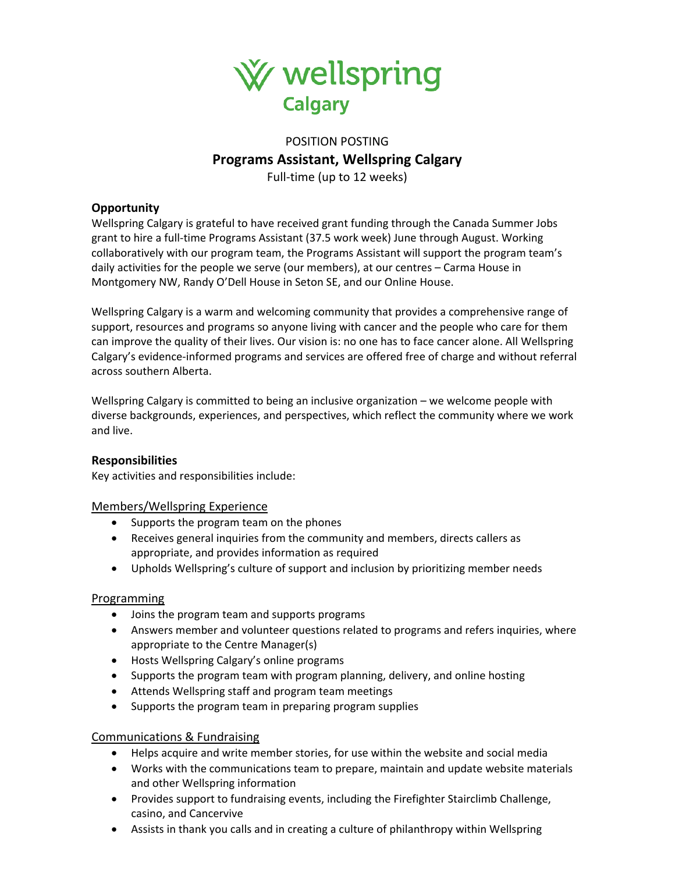

# POSITION POSTING **Programs Assistant, Wellspring Calgary** Full-time (up to 12 weeks)

# **Opportunity**

Wellspring Calgary is grateful to have received grant funding through the Canada Summer Jobs grant to hire a full-time Programs Assistant (37.5 work week) June through August. Working collaboratively with our program team, the Programs Assistant will support the program team's daily activities for the people we serve (our members), at our centres – Carma House in Montgomery NW, Randy O'Dell House in Seton SE, and our Online House.

Wellspring Calgary is a warm and welcoming community that provides a comprehensive range of support, resources and programs so anyone living with cancer and the people who care for them can improve the quality of their lives. Our vision is: no one has to face cancer alone. All Wellspring Calgary's evidence-informed programs and services are offered free of charge and without referral across southern Alberta.

Wellspring Calgary is committed to being an inclusive organization – we welcome people with diverse backgrounds, experiences, and perspectives, which reflect the community where we work and live.

# **Responsibilities**

Key activities and responsibilities include:

#### Members/Wellspring Experience

- Supports the program team on the phones
- Receives general inquiries from the community and members, directs callers as appropriate, and provides information as required
- Upholds Wellspring's culture of support and inclusion by prioritizing member needs

#### Programming

- Joins the program team and supports programs
- Answers member and volunteer questions related to programs and refers inquiries, where appropriate to the Centre Manager(s)
- Hosts Wellspring Calgary's online programs
- Supports the program team with program planning, delivery, and online hosting
- Attends Wellspring staff and program team meetings
- Supports the program team in preparing program supplies

#### Communications & Fundraising

- Helps acquire and write member stories, for use within the website and social media
- Works with the communications team to prepare, maintain and update website materials and other Wellspring information
- Provides support to fundraising events, including the Firefighter Stairclimb Challenge, casino, and Cancervive
- Assists in thank you calls and in creating a culture of philanthropy within Wellspring